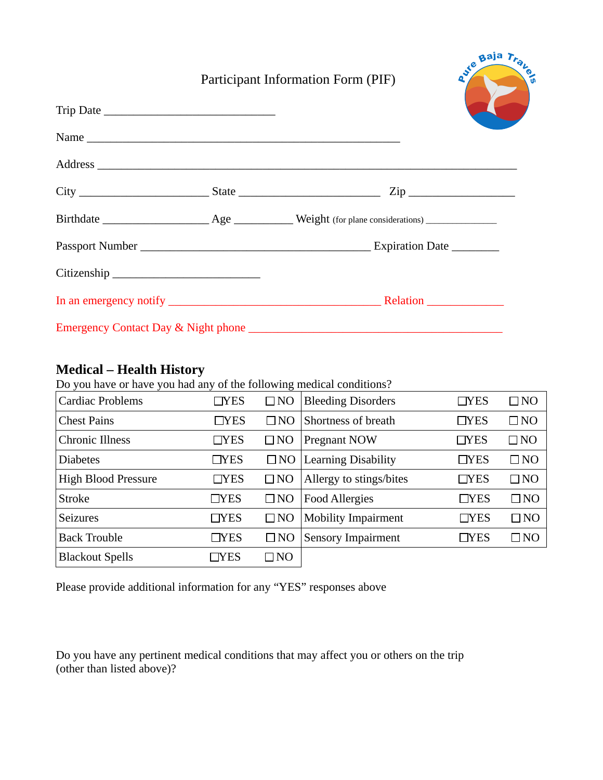## Participant Information Form (PIF)

ave Baja Trans

|  | $City$ $Zip$ |
|--|--------------|
|  |              |
|  |              |
|  |              |
|  |              |
|  |              |

## **Medical – Health History**

Do you have or have you had any of the following medical conditions?

| <b>Cardiac Problems</b>    | T <sub>YES</sub> | $\square$ NO | <b>Bleeding Disorders</b>  | $\Box$ YES | $\Box$ NO    |
|----------------------------|------------------|--------------|----------------------------|------------|--------------|
| <b>Chest Pains</b>         | $\Box$ YES       | $\square$ NO | Shortness of breath        | $\Box$ YES | $\Box$ NO    |
| <b>Chronic Illness</b>     | $\Box$ YES       | $\square$ NO | Pregnant NOW               | $\Box$ YES | $\square$ NO |
| <b>Diabetes</b>            | $\Box$ YES       | $\square$ NO | <b>Learning Disability</b> | $\Box$ YES | $\square$ NO |
| <b>High Blood Pressure</b> | $\Box$ YES       | $\square$ NO | Allergy to stings/bites    | $\Box$ YES | $\Box$ NO    |
| <b>Stroke</b>              | $\Box$ YES       | $\square$ NO | <b>Food Allergies</b>      | $\neg$ YES | $\square$ NO |
| <b>Seizures</b>            | $\Box$ YES       | $\square$ NO | <b>Mobility Impairment</b> | $\Box$ YES | $\Box$ NO    |
| <b>Back Trouble</b>        | $\Box$ YES       | $\square$ NO | <b>Sensory Impairment</b>  | $_T$ YES   | $\square$ NO |
| <b>Blackout Spells</b>     | $\Box$ YES       | $\square$ NO |                            |            |              |

Please provide additional information for any "YES" responses above

Do you have any pertinent medical conditions that may affect you or others on the trip (other than listed above)?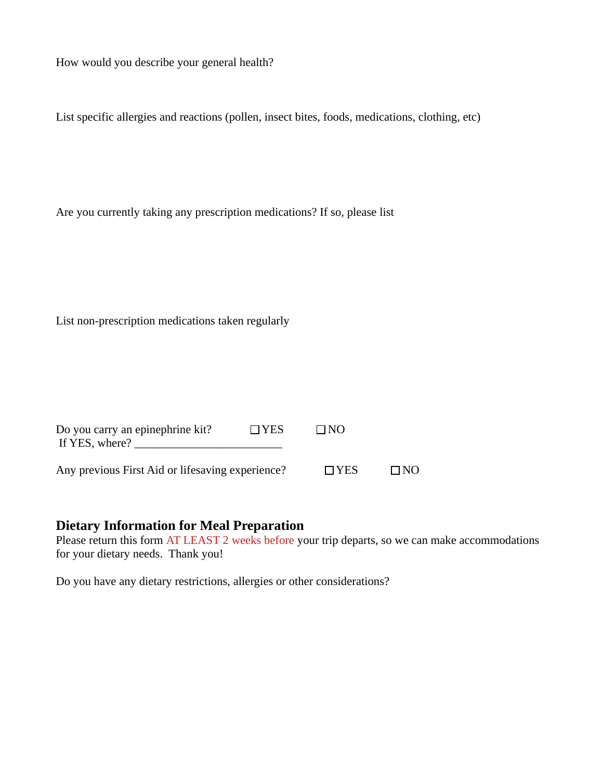How would you describe your general health?

List specific allergies and reactions (pollen, insect bites, foods, medications, clothing, etc)

Are you currently taking any prescription medications? If so, please list

List non-prescription medications taken regularly

| Do you carry an epinephrine kit?<br>If YES, where? | $\Box$ YES | $\Box$ NO  |           |
|----------------------------------------------------|------------|------------|-----------|
| Any previous First Aid or lifesaving experience?   |            | $\Box$ YES | $\Box$ NO |

## **Dietary Information for Meal Preparation**

Please return this form AT LEAST 2 weeks before your trip departs, so we can make accommodations for your dietary needs. Thank you!

Do you have any dietary restrictions, allergies or other considerations?